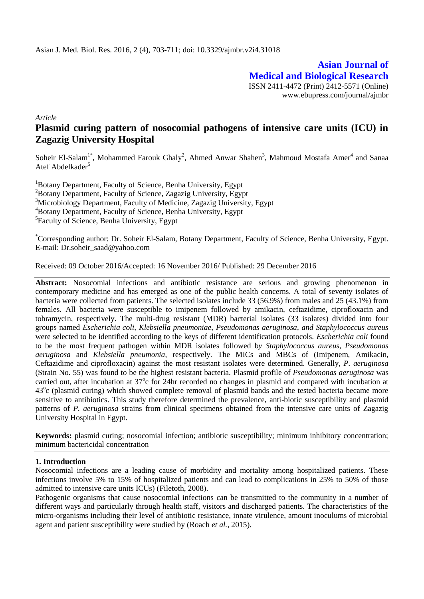**Asian Journal of Medical and Biological Research** ISSN 2411-4472 (Print) 2412-5571 (Online) www.ebupress.com/journal/ajmbr

*Article*

# **Plasmid curing pattern of nosocomial pathogens of intensive care units (ICU) in Zagazig University Hospital**

Soheir El-Salam<sup>1\*</sup>, Mohammed Farouk Ghaly<sup>2</sup>, Ahmed Anwar Shahen<sup>3</sup>, Mahmoud Mostafa Amer<sup>4</sup> and Sanaa Atef Abdelkader<sup>5</sup>

<sup>1</sup>Botany Department, Faculty of Science, Benha University, Egypt <sup>2</sup>Botany Department, Faculty of Science, Zagazig University, Egypt <sup>3</sup>Microbiology Department, Faculty of Medicine, Zagazig University, Egypt <sup>4</sup>Botany Department, Faculty of Science, Benha University, Egypt <sup>5</sup>Faculty of Science, Benha University, Egypt

\*Corresponding author: Dr. Soheir El-Salam, Botany Department, Faculty of Science, Benha University, Egypt. E-mail: Dr.soheir\_saad@yahoo.com

Received: 09 October 2016/Accepted: 16 November 2016/ Published: 29 December 2016

**Abstract:** Nosocomial infections and antibiotic resistance are serious and growing phenomenon in contemporary medicine and has emerged as one of the public health concerns. A total of seventy isolates of bacteria were collected from patients. The selected isolates include 33 (56.9%) from males and 25 (43.1%) from females. All bacteria were susceptible to imipenem followed by amikacin, ceftazidime, ciprofloxacin and tobramycin, respectively. The multi-drug resistant (MDR) bacterial isolates (33 isolates) divided into four groups named *Escherichia coli*, *Klebsiella pneumoniae*, *Pseudomonas aeruginosa*, *and Staphylococcus aureus*  were selected to be identified according to the keys of different identification protocols. *Escherichia coli* found to be the most frequent pathogen within MDR isolates followed b*y Staphylococcus aureus, Pseudomonas aeruginosa* and *Klebsiella pneumonia*, respectively. The MICs and MBCs of (Imipenem, Amikacin, Ceftazidime and ciprofloxacin) against the most resistant isolates were determined. Generally, *P. aeruginosa*  (Strain No. 55) was found to be the highest resistant bacteria. Plasmid profile of *Pseudomonas aeruginosa* was carried out, after incubation at 37°c for 24hr recorded no changes in plasmid and compared with incubation at 43<sup>o</sup>c (plasmid curing) which showed complete removal of plasmid bands and the tested bacteria became more sensitive to antibiotics. This study therefore determined the prevalence, anti-biotic susceptibility and plasmid patterns of *P. aeruginosa* strains from clinical specimens obtained from the intensive care units of Zagazig University Hospital in Egypt.

**Keywords:** plasmid curing; nosocomial infection; antibiotic susceptibility; minimum inhibitory concentration; minimum bactericidal concentration

#### **1. Introduction**

Nosocomial infections are a leading cause of morbidity and mortality among hospitalized patients. These infections involve 5% to 15% of hospitalized patients and can lead to complications in 25% to 50% of those admitted to intensive care units ICUs) (Filetoth, 2008).

Pathogenic organisms that cause nosocomial infections can be transmitted to the community in a number of different ways and particularly through health staff, visitors and discharged patients. The characteristics of the micro-organisms including their level of antibiotic resistance, innate virulence, amount inoculums of microbial agent and patient susceptibility were studied by (Roach *et al.,* 2015).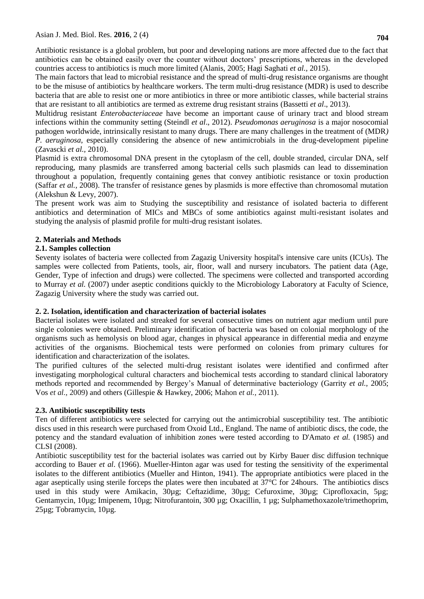Antibiotic resistance is a global problem, but poor and developing nations are more affected due to the fact that antibiotics can be obtained easily over the counter without doctors' prescriptions, whereas in the developed countries access to antibiotics is much more limited (Alanis, 2005; Hagi Saghati *et al.,* 2015).

The main factors that lead to microbial resistance and the spread of multi-drug resistance organisms are thought to be the misuse of antibiotics by healthcare workers. The term multi-drug resistance (MDR) is used to describe bacteria that are able to resist one or more antibiotics in three or more antibiotic classes, while bacterial strains that are resistant to all antibiotics are termed as extreme drug resistant strains (Bassetti *et al*., 2013).

Multidrug resistant *Enterobacteriaceae* have become an important cause of urinary tract and blood stream infections within the community setting (Steindl *et al*., 2012). *Pseudomonas aeruginosa* is a major nosocomial pathogen worldwide, intrinsically resistant to many drugs. There are many challenges in the treatment of (MDR*) P. aeruginosa*, especially considering the absence of new antimicrobials in the drug-development pipeline (Zavascki *et al.,* 2010).

Plasmid is extra chromosomal DNA present in the cytoplasm of the cell, double stranded, circular DNA, self reproducing, many plasmids are transferred among bacterial cells such plasmids can lead to dissemination throughout a population, frequently containing genes that convey antibiotic resistance or toxin production (Saffar *et al.,* 2008). The transfer of resistance genes by plasmids is more effective than chromosomal mutation (Alekshun & Levy, 2007).

The present work was aim to Studying the susceptibility and resistance of isolated bacteria to different antibiotics and determination of MICs and MBCs of some antibiotics against multi-resistant isolates and studying the analysis of plasmid profile for multi-drug resistant isolates.

### **2. Materials and Methods**

### **2.1. Samples collection**

Seventy isolates of bacteria were collected from Zagazig University hospital's intensive care units (ICUs). The samples were collected from Patients, tools, air, floor, wall and nursery incubators. The patient data (Age, Gender, Type of infection and drugs) were collected. The specimens were collected and transported according to Murray *et al.* (2007) under aseptic conditions quickly to the Microbiology Laboratory at Faculty of Science, Zagazig University where the study was carried out.

#### **2. 2. Isolation, identification and characterization of bacterial isolates**

Bacterial isolates were isolated and streaked for several consecutive times on nutrient agar medium until pure single colonies were obtained. Preliminary identification of bacteria was based on colonial morphology of the organisms such as hemolysis on blood agar, changes in physical appearance in differential media and enzyme activities of the organisms. Biochemical tests were performed on colonies from primary cultures for identification and characterization of the isolates.

The purified cultures of the selected multi-drug resistant isolates were identified and confirmed after investigating morphological cultural characters and biochemical tests according to standard clinical laboratory methods reported and recommended by Bergey's Manual of determinative bacteriology (Garrity *et al.,* 2005; Vos *et al.,* 2009) and others (Gillespie & Hawkey, 2006; Mahon *et al.,* 2011).

#### **2.3. Antibiotic susceptibility tests**

Ten of different antibiotics were selected for carrying out the antimicrobial susceptibility test. The antibiotic discs used in this research were purchased from Oxoid Ltd., England. The name of antibiotic discs, the code, the potency and the standard evaluation of inhibition zones were tested according to D'Amato *et al.* (1985) and CLSI (2008).

Antibiotic susceptibility test for the bacterial isolates was carried out by Kirby Bauer disc diffusion technique according to Bauer *et al*. (1966). Mueller-Hinton agar was used for testing the sensitivity of the experimental isolates to the different antibiotics (Mueller and Hinton, 1941). The appropriate antibiotics were placed in the agar aseptically using sterile forceps the plates were then incubated at 37°C for 24hours. The antibiotics discs used in this study were Amikacin, 30µg; Ceftazidime, 30µg; Cefuroxime, 30µg; Ciprofloxacin, 5µg; Gentamycin, 10µg; Imipenem, 10µg; Nitrofurantoin, 300 µg; Oxacillin, 1 µg; Sulphamethoxazole/trimethoprim, 25µg; Tobramycin, 10µg.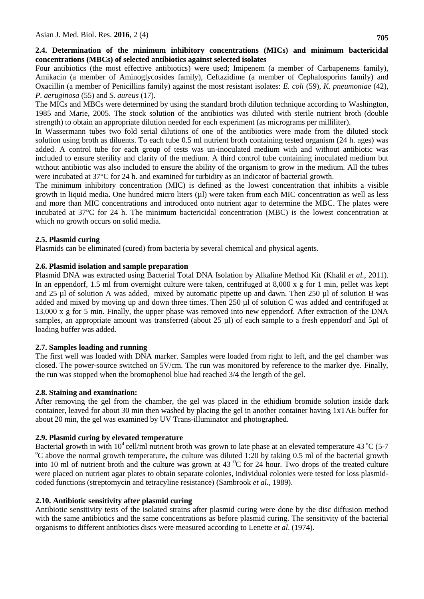Four antibiotics (the most effective antibiotics) were used; Imipenem (a member of Carbapenems family), Amikacin (a member of Aminoglycosides family), Ceftazidime (a member of Cephalosporins family) and Oxacillin (a member of Penicillins family) against the most resistant isolates: *E. coli* (59)*, K. pneumoniae* (42), *P. aeruginosa* (55) and *S. aureus* (17).

The MICs and MBCs were determined by using the standard broth dilution technique according to Washington, 1985 and Marie, 2005. The stock solution of the antibiotics was diluted with sterile nutrient broth (double strength) to obtain an appropriate dilution needed for each experiment (as micrograms per milliliter).

In Wassermann tubes two fold serial dilutions of one of the antibiotics were made from the diluted stock solution using broth as diluents. To each tube 0.5 ml nutrient broth containing tested organism (24 h. ages) was added. A control tube for each group of tests was un-inoculated medium with and without antibiotic was included to ensure sterility and clarity of the medium. A third control tube containing inoculated medium but without antibiotic was also included to ensure the ability of the organism to grow in the medium. All the tubes were incubated at 37°C for 24 h. and examined for turbidity as an indicator of bacterial growth.

The minimum inhibitory concentration (MIC) is defined as the lowest concentration that inhibits a visible growth in liquid media**.** One hundred micro liters (µl) were taken from each MIC concentration as well as less and more than MIC concentrations and introduced onto nutrient agar to determine the MBC. The plates were incubated at 37°C for 24 h. The minimum bactericidal concentration (MBC) is the lowest concentration at which no growth occurs on solid media.

# **2.5. Plasmid curing**

Plasmids can be eliminated (cured) from bacteria by several chemical and physical agents.

# **2.6. Plasmid isolation and sample preparation**

Plasmid DNA was extracted using Bacterial Total DNA Isolation by Alkaline Method Kit (Khalil *et al.,* 2011). In an eppendorf, 1.5 ml from overnight culture were taken, centrifuged at 8,000 x g for 1 min, pellet was kept and 25 µl of solution A was added, mixed by automatic pipette up and dawn. Then 250 µl of solution B was added and mixed by moving up and down three times. Then 250 µl of solution C was added and centrifuged at 13,000 x g for 5 min. Finally, the upper phase was removed into new eppendorf. After extraction of the DNA samples, an appropriate amount was transferred (about 25 µl) of each sample to a fresh eppendorf and 5µl of loading buffer was added.

# **2.7. Samples loading and running**

The first well was loaded with DNA marker. Samples were loaded from right to left, and the gel chamber was closed. The power-source switched on 5V/cm. The run was monitored by reference to the marker dye. Finally, the run was stopped when the bromophenol blue had reached 3/4 the length of the gel.

# **2.8. Staining and examination:**

After removing the gel from the chamber, the gel was placed in the ethidium bromide solution inside dark container, leaved for about 30 min then washed by placing the gel in another container having 1xTAE buffer for about 20 min, the gel was examined by UV Trans-illuminator and photographed.

# **2.9. Plasmid curing by elevated temperature**

Bacterial growth in with  $10^4$  cell/ml nutrient broth was grown to late phase at an elevated temperature 43  $^{\circ}$ C (5-7) <sup>o</sup>C above the normal growth temperature**,** the culture was diluted 1:20 by taking 0.5 ml of the bacterial growth into 10 ml of nutrient broth and the culture was grown at 43  $^{\circ}$ C for 24 hour. Two drops of the treated culture were placed on nutrient agar plates to obtain separate colonies, individual colonies were tested for loss plasmidcoded functions (streptomycin and tetracyline resistance) (Sambrook *et al.,* 1989).

# **2.10. Antibiotic sensitivity after plasmid curing**

Antibiotic sensitivity tests of the isolated strains after plasmid curing were done by the disc diffusion method with the same antibiotics and the same concentrations as before plasmid curing. The sensitivity of the bacterial organisms to different antibiotics discs were measured according to Lenette *et al*. (1974).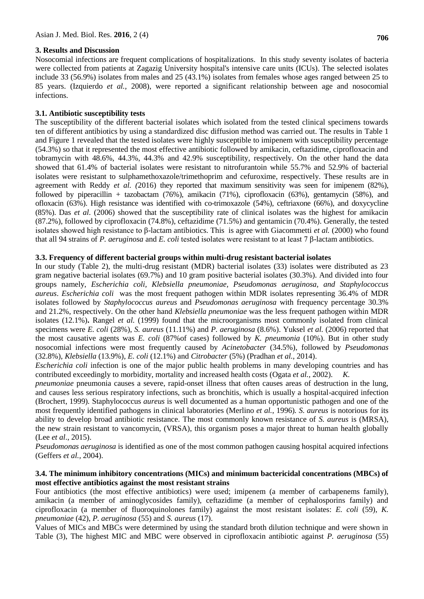#### **3. Results and Discussion**

Nosocomial infections are frequent complications of hospitalizations. In this study seventy isolates of bacteria were collected from patients at Zagazig University hospital's intensive care units (ICUs). The selected isolates include 33 (56.9%) isolates from males and 25 (43.1%) isolates from females whose ages ranged between 25 to 85 years. (Izquierdo *et al.,* 2008), were reported a significant relationship between age and nosocomial infections.

### **3.1. Antibiotic susceptibility tests**

The susceptibility of the different bacterial isolates which isolated from the tested clinical specimens towards ten of different antibiotics by using a standardized disc diffusion method was carried out. The results in Table 1 and Figure 1 revealed that the tested isolates were highly susceptible to imipenem with susceptibility percentage (54.3%) so that it represented the most effective antibiotic followed by amikacin, ceftazidime, ciprofloxacin and tobramycin with 48.6%, 44.3%, 44.3% and 42.9% susceptibility, respectively. On the other hand the data showed that 61.4% of bacterial isolates were resistant to nitrofurantoin while 55.7% and 52.9% of bacterial isolates were resistant to sulphamethoxazole/trimethoprim and cefuroxime, respectively. These results are in agreement with Reddy *et al. (*2016) they reported that maximum sensitivity was seen for imipenem (82%), followed by piperacillin + tazobactam (76%), amikacin (71%), ciprofloxacin (63%), gentamycin (58%), and ofloxacin (63%). High resistance was identified with co-trimoxazole (54%), ceftriaxone (66%), and doxycycline (85%). Das *et al.* (2006) showed that the susceptibility rate of clinical isolates was the highest for amikacin (87.2%), followed by ciprofloxacin (74.8%), ceftazidime (71.5%) and gentamicin (70.4%). Generally, the tested isolates showed high resistance to β-lactam antibiotics. This is agree with Giacommetti *et al.* (2000) who found that all 94 strains of *P. aeruginosa* and *E. coli* tested isolates were resistant to at least 7 β-lactam antibiotics.

### **3.3. Frequency of different bacterial groups within multi-drug resistant bacterial isolates**

In our study (Table 2), the multi-drug resistant (MDR) bacterial isolates (33) isolates were distributed as 23 gram negative bacterial isolates (69.7%) and 10 gram positive bacterial isolates (30.3%). And divided into four groups namely, *Escherichia coli, Klebsiella pneumoniae, Pseudomonas aeruginosa, and Staphylococcus aureus*. *Escherichia coli* was the most frequent pathogen within MDR isolates representing 36.4% of MDR isolates followed by *Staphylococcus aureus* and *Pseudomonas aeruginosa* with frequency percentage 30.3% and 21.2%, respectively. On the other hand *Klebsiella pneumoniae* was the less frequent pathogen within MDR isolates (12.1%)**.** Rangel *et al.* (1999) found that the microorganisms most commonly isolated from clinical specimens were *E. coli* (28%), *S. aureus* (11.11%) and *P. aeruginosa* (8.6%). Yuksel *et al.* (2006) reported that the most causative agents was *E. coli* (87%of cases) followed by *K. pneumonia* (10%). But in other study nosocomial infections were most frequently caused by *Acinetobacter* (34.5%), followed by *Pseudomonas* (32.8%), *Klebsiella* (13.9%), *E. coli* (12.1%) and *Citrobacter* (5%) (Pradhan *et al.*, 2014).

*Escherichia coli* infection is one of the major public health problems in many developing countries and has contributed exceedingly to morbidity, mortality and increased health costs (Ogata *et al.,* 2002). *K.*

*pneumoniae* pneumonia causes a severe, rapid-onset illness that often causes areas of destruction in the lung, and causes less serious respiratory infections, such as bronchitis, which is usually a hospital-acquired infection (Brochert, 1999)*.* Staphylococcus *aureus* is well documented as a human opportunistic pathogen and one of the most frequently identified pathogens in clinical laboratories (Merlino *et al.*, 1996)*. S. aureus* is notorious for its ability to develop broad antibiotic resistance. The most commonly known resistance of *S. aureus* is (MRSA), the new strain resistant to vancomycin, (VRSA), this organism poses a major threat to human health globally (Lee *et al*., 2015).

*Pseudomonas aeruginosa* is identified as one of the most common pathogen causing hospital acquired infections (Geffers *et al.,* 2004).

#### **3.4. The minimum inhibitory concentrations (MICs) and minimum bactericidal concentrations (MBCs) of most effective antibiotics against the most resistant strains**

Four antibiotics (the most effective antibiotics) were used; imipenem (a member of carbapenems family), amikacin (a member of aminoglycosides family), ceftazidime (a member of cephalosporins family) and ciprofloxacin (a member of fluoroquinolones family) against the most resistant isolates: *E. coli* (59)*, K. pneumoniae* (42), *P. aeruginosa* (55) and *S. aureus* (17).

Values of MICs and MBCs were determined by using the standard broth dilution technique and were shown in Table (3), The highest MIC and MBC were observed in ciprofloxacin antibiotic against *P. aeruginosa* (55)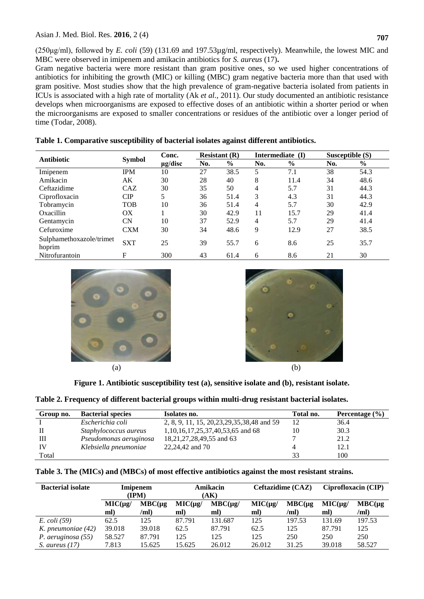(250μg/ml), followed by *E. coli* (59) (131.69 and 197.53µg/ml, respectively). Meanwhile, the lowest MIC and MBC were observed in imipenem and amikacin antibiotics for *S. aureus* (17)**.**

Gram negative bacteria were more resistant than gram positive ones, so we used higher concentrations of antibiotics for inhibiting the growth (MIC) or killing (MBC) gram negative bacteria more than that used with gram positive. Most studies show that the high prevalence of gram-negative bacteria isolated from patients in ICUs is associated with a high rate of mortality (Ak *et al.,* 2011). Our study documented an antibiotic resistance develops when microorganisms are exposed to effective doses of an antibiotic within a shorter period or when the microorganisms are exposed to smaller concentrations or residues of the antibiotic over a longer period of time (Todar, 2008).

| <b>Antibiotic</b>                  | <b>Symbol</b> | Conc.        | Resistant $(R)$ |               | Intermediate (I) |               | Susceptible (S) |               |
|------------------------------------|---------------|--------------|-----------------|---------------|------------------|---------------|-----------------|---------------|
|                                    |               | $\mu$ g/disc | No.             | $\frac{0}{0}$ | No.              | $\frac{0}{0}$ | No.             | $\frac{0}{0}$ |
| Imipenem                           | <b>IPM</b>    | 10           | 27              | 38.5          | 5                | 7.1           | 38              | 54.3          |
| Amikacin                           | AK            | 30           | 28              | 40            | 8                | 11.4          | 34              | 48.6          |
| Ceftazidime                        | <b>CAZ</b>    | 30           | 35              | 50            | 4                | 5.7           | 31              | 44.3          |
| Ciprofloxacin                      | CIP           | 5            | 36              | 51.4          | 3                | 4.3           | 31              | 44.3          |
| Tobramycin                         | <b>TOB</b>    | 10           | 36              | 51.4          | 4                | 5.7           | 30              | 42.9          |
| Oxacillin                          | ОX            |              | 30              | 42.9          | 11               | 15.7          | 29              | 41.4          |
| Gentamycin                         | CN            | 10           | 37              | 52.9          | 4                | 5.7           | 29              | 41.4          |
| Cefuroxime                         | CXM           | 30           | 34              | 48.6          | 9                | 12.9          | 27              | 38.5          |
| Sulphamethoxazole/trimet<br>hoprim | <b>SXT</b>    | 25           | 39              | 55.7          | 6                | 8.6           | 25              | 35.7          |
| Nitrofurantoin                     | F             | 300          | 43              | 61.4          | 6                | 8.6           | 21              | 30            |

**Table 1. Comparative susceptibility of bacterial isolates against different antibiotics.**





**Figure 1. Antibiotic susceptibility test (a), sensitive isolate and (b), resistant isolate.**

|  | Table 2. Frequency of different bacterial groups within multi-drug resistant bacterial isolates. |  |
|--|--------------------------------------------------------------------------------------------------|--|
|  |                                                                                                  |  |

| Group no. | <b>Bacterial species</b> | Isolates no.                                   | Total no. | Percentage $(\% )$ |
|-----------|--------------------------|------------------------------------------------|-----------|--------------------|
|           | Escherichia coli         | 2, 8, 9, 11, 15, 20, 23, 29, 35, 38, 48 and 59 |           | 36.4               |
|           | Staphylococcus aureus    | 1,10,16,17,25,37,40,53,65 and 68               |           | 30.3               |
| Ш         | Pseudomonas aeruginosa   | 18,21,27,28,49,55 and 63                       |           | 21.2               |
| IV        | Klebsiella pneumoniae    | 22,24,42 and 70                                |           | 12.1               |
| Total     |                          |                                                | 33        | 100                |

|  |  |  | Table 3. The (MICs) and (MBCs) of most effective antibiotics against the most resistant strains. |  |  |
|--|--|--|--------------------------------------------------------------------------------------------------|--|--|
|  |  |  |                                                                                                  |  |  |

| <b>Bacterial isolate</b> | Imipenem<br>(IPM)  |                      | Amikacin<br>(AK)     |                     | Ceftazidime (CAZ)   |              | Ciprofloxacin (CIP)  |                 |
|--------------------------|--------------------|----------------------|----------------------|---------------------|---------------------|--------------|----------------------|-----------------|
|                          | $MIC(\mu g$<br>ml) | $MBC(\mu g)$<br>/ml) | $MIC(\mu g$ /<br>ml) | $MBC(\mu g)$<br>ml) | $MIC(\mu g)$<br>ml) | MBC(<br>/ml) | $MIC(\mu g$ /<br>ml) | MBC(µq)<br>/ml) |
| <i>E. coli</i> (59)      | 62.5               | 125                  | 87.791               | 131.687             | 125                 | 197.53       | 131.69               | 197.53          |
| K. pneumoniae (42)       | 39.018             | 39.018               | 62.5                 | 87.791              | 62.5                | 125          | 87.791               | 125             |
| P. aeruginosa (55)       | 58.527             | 87.791               | 125                  | 125                 | 125                 | 250          | 250                  | 250             |
| S. aureus $(17)$         | 7.813              | 15.625               | 15.625               | 26.012              | 26.012              | 31.25        | 39.018               | 58.527          |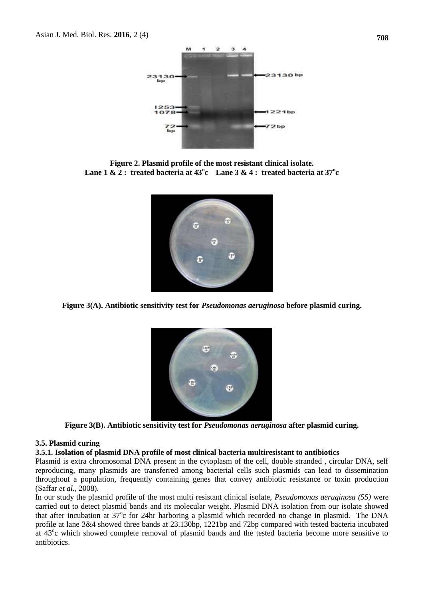

**Figure 2. Plasmid profile of the most resistant clinical isolate. Lane 1 & 2 : treated bacteria at**  $43^{\circ}$ **c Lane 3 & 4 : treated bacteria at**  $37^{\circ}$ **c** 



**Figure 3(A). Antibiotic sensitivity test for** *Pseudomonas aeruginosa* **before plasmid curing.**



**Figure 3(B). Antibiotic sensitivity test for** *Pseudomonas aeruginosa* **after plasmid curing.**

#### **3.5. Plasmid curing**

#### **3.5.1. Isolation of plasmid DNA profile of most clinical bacteria multiresistant to antibiotics**

Plasmid is extra chromosomal DNA present in the cytoplasm of the cell, double stranded , circular DNA, self reproducing, many plasmids are transferred among bacterial cells such plasmids can lead to dissemination throughout a population, frequently containing genes that convey antibiotic resistance or toxin production (Saffar *et al.,* 2008).

In our study the plasmid profile of the most multi resistant clinical isolate, *Pseudomonas aeruginosa (55)* were carried out to detect plasmid bands and its molecular weight. Plasmid DNA isolation from our isolate showed that after incubation at 37°c for 24hr harboring a plasmid which recorded no change in plasmid. The DNA profile at lane 3&4 showed three bands at 23.130bp, 1221bp and 72bp compared with tested bacteria incubated at 43<sup>o</sup>c which showed complete removal of plasmid bands and the tested bacteria become more sensitive to antibiotics.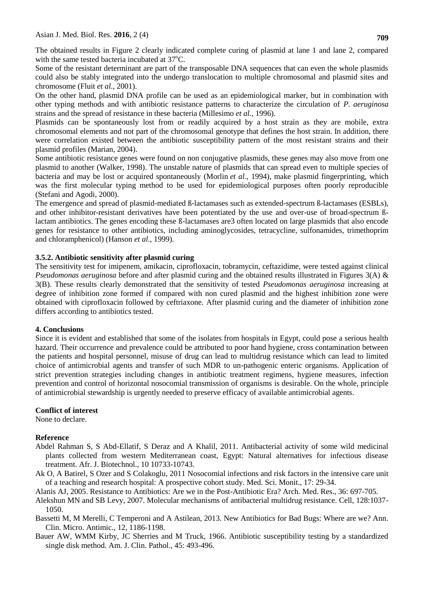The obtained results in Figure 2 clearly indicated complete curing of plasmid at lane 1 and lane 2, compared with the same tested bacteria incubated at  $37^{\circ}$ C.

Some of the resistant determinant are part of the transposable DNA sequences that can even the whole plasmids could also be stably integrated into the undergo translocation to multiple chromosomal and plasmid sites and chromosome (Fluit *et al*., 2001).

On the other hand, plasmid DNA profile can be used as an epidemiological marker, but in combination with other typing methods and with antibiotic resistance patterns to characterize the circulation of *P. aeruginosa*  strains and the spread of resistance in these bacteria (Millesimo *et al.,* 1996).

Plasmids can be spontaneously lost from or readily acquired by a host strain as they are mobile, extra chromosomal elements and not part of the chromosomal genotype that defines the host strain. In addition, there were correlation existed between the antibiotic susceptibility pattern of the most resistant strains and their plasmid profiles (Marian, 2004).

Some antibiotic resistance genes were found on non conjugative plasmids, these genes may also move from one plasmid to another (Walker, 1998). The unstable nature of plasmids that can spread even to multiple species of bacteria and may be lost or acquired spontaneously (Morlin *et al.,* 1994), make plasmid fingerprinting, which was the first molecular typing method to be used for epidemiological purposes often poorly reproducible (Stefani and Agodi, 2000).

The emergence and spread of plasmid-mediated ß-lactamases such as extended-spectrum ß-lactamases (ESBLs), and other inhibitor-resistant derivatives have been potentiated by the use and over-use of broad-spectrum ßlactam antibiotics. The genes encoding these ß-lactamases are3 often located on large plasmids that also encode genes for resistance to other antibiotics, including aminoglycosides, tetracycline, sulfonamides, trimethoprim and chloramphenicol) (Hanson *et al.,* 1999).

### **3.5.2. Antibiotic sensitivity after plasmid curing**

The sensitivity test for imipenem, amikacin, ciprofloxacin, tobramycin, ceftazidime, were tested against clinical *Pseudomonas aeruginosa* before and after plasmid curing and the obtained results illustrated in Figures 3(A) & 3(B). These results clearly demonstrated that the sensitivity of tested *Pseudomonas aeruginosa* increasing at degree of inhibition zone formed if compared with non cured plasmid and the highest inhibition zone were obtained with ciprofloxacin followed by ceftriaxone. After plasmid curing and the diameter of inhibition zone differs according to antibiotics tested.

#### **4. Conclusions**

Since it is evident and established that some of the isolates from hospitals in Egypt, could pose a serious health hazard. Their occurrence and prevalence could be attributed to poor hand hygiene, cross contamination between the patients and hospital personnel, misuse of drug can lead to multidrug resistance which can lead to limited choice of antimicrobial agents and transfer of such MDR to un-pathogenic enteric organisms. Application of strict prevention strategies including changes in antibiotic treatment regimens, hygiene measures, infection prevention and control of horizontal nosocomial transmission of organisms is desirable. On the whole, principle of antimicrobial stewardship is urgently needed to preserve efficacy of available antimicrobial agents.

#### **Conflict of interest**

None to declare.

#### **Reference**

- Abdel Rahman S, S Abd-Ellatif, S Deraz and A Khalil, 2011. Antibacterial activity of some wild medicinal plants collected from western Mediterranean coast, Egypt: Natural alternatives for infectious disease treatment. Afr. J. Biotechnol., 10 10733-10743.
- Ak O, A Batirel, S Ozer and S Colakoglu, 2011 Nosocomial infections and risk factors in the intensive care unit of a teaching and research hospital: A prospective cohort study. Med. Sci. Monit., 17: 29-34.

Alanis AJ, 2005. Resistance to Antibiotics: Are we in the Post-Antibiotic Era? Arch. Med. Res., 36: 697-705.

- Alekshun MN and SB Levy, 2007. Molecular mechanisms of antibacterial multidrug resistance. Cell, 128:1037- 1050.
- Bassetti M, M Merelli, C Temperoni and A Astilean, 2013. New Antibiotics for Bad Bugs: Where are we? Ann. Clin. Micro. Antimic., 12, 1186-1198.
- Bauer AW, WMM Kirby, JC Sherries and M Truck, 1966. Antibiotic susceptibility testing by a standardized single disk method. Am. J. Clin. Pathol., 45: 493-496.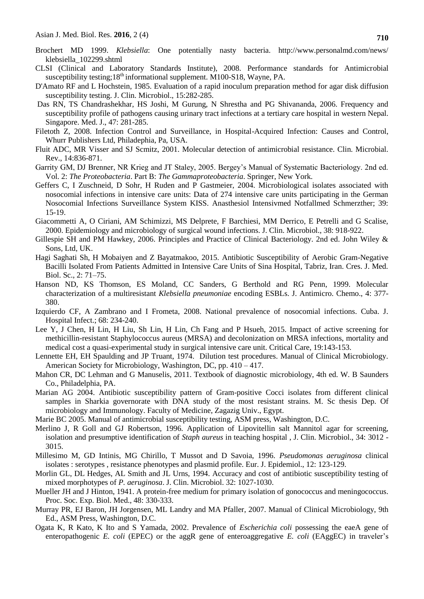- Brochert MD 1999. *Klebsiella*: One potentially nasty bacteria. http://www.personalmd.com/news/ klebsiella\_102299.shtml
- CLSI (Clinical and Laboratory Standards Institute), 2008. Performance standards for Antimicrobial susceptibility testing; $18<sup>th</sup>$  informational supplement. M100-S18, Wayne, PA.
- D'Amato RF and L Hochstein, 1985. Evaluation of a rapid inoculum preparation method for agar disk diffusion susceptibility testing. J. Clin. Microbiol., 15:282-285.
- Das RN, TS Chandrashekhar, HS Joshi, M Gurung, N Shrestha and PG Shivananda, 2006. Frequency and susceptibility profile of pathogens causing urinary tract infections at a tertiary care hospital in western Nepal. Singapore. Med. J., 47: 281-285.
- Filetoth Z, 2008. Infection Control and Surveillance, in Hospital-Acquired Infection: Causes and Control, Whurr Publishers Ltd, Philadephia, Pa, USA.
- Fluit ADC, MR Visser and SJ Scmitz, 2001. Molecular detection of antimicrobial resistance. Clin. Microbial. Rev., 14:836-871.
- Garrity GM, DJ Brenner, NR Krieg and JT Staley, 2005. Bergey's Manual of Systematic Bacteriology. 2nd ed. Vol. 2: *The Proteobacteria*. Part B: *The Gammaproteobacteria*. Springer, New York.
- Geffers C, I Zuschneid, D Sohr, H Ruden and P Gastmeier, 2004. Microbiological isolates associated with nosocomial infections in intensive care units: Data of 274 intensive care units participating in the German Nosocomial Infections Surveillance System KISS. Anasthesiol Intensivmed Notfallmed Schmerzther; 39: 15-19.
- Giacommetti A, O Ciriani, AM Schimizzi, MS Delprete, F Barchiesi, MM Derrico, E Petrelli and G Scalise, 2000. Epidemiology and microbiology of surgical wound infections. J. Clin. Microbiol., 38: 918-922.
- Gillespie SH and PM Hawkey, 2006. Principles and Practice of Clinical Bacteriology. 2nd ed. John Wiley & Sons, Ltd, UK.
- Hagi Saghati Sh, H Mobaiyen and Z Bayatmakoo, 2015. Antibiotic Susceptibility of Aerobic Gram-Negative Bacilli Isolated From Patients Admitted in Intensive Care Units of Sina Hospital, Tabriz, Iran. Cres. J. Med. Biol. Sc., 2: 71–75.
- Hanson ND, KS Thomson, ES Moland, CC Sanders, G Berthold and RG Penn, 1999. Molecular characterization of a multiresistant *Klebsiella pneumoniae* encoding ESBLs. J. Antimicro. Chemo., 4: 377- 380.
- Izquierdo CF, A Zambrano and I Frometa, 2008. National prevalence of nosocomial infections. Cuba. J. Hospital Infect.; 68: 234-240.
- Lee Y, J Chen, H Lin, H Liu, Sh Lin, H Lin, Ch Fang and P Hsueh, 2015. Impact of active screening for methicillin-resistant Staphylococcus aureus (MRSA) and decolonization on MRSA infections, mortality and medical cost a quasi-experimental study in surgical intensive care unit. Critical Care, 19:143-153.
- Lennette EH, EH Spaulding and JP Truant, 1974. Dilution test procedures. Manual of Clinical Microbiology. American Society for Microbiology, Washington, DC, pp. 410 – 417.
- Mahon CR, DC Lehman and G Manuselis, 2011. Textbook of diagnostic microbiology, 4th ed. W. B Saunders Co., Philadelphia, PA.
- Marian AG 2004. Antibiotic susceptibility pattern of Gram-positive Cocci isolates from different clinical samples in Sharkia governorate with DNA study of the most resistant strains. M. Sc thesis Dep. Of microbiology and Immunology. Faculty of Medicine, Zagazig Univ., Egypt.
- Marie BC 2005. Manual of antimicrobial susceptibility testing, ASM press, Washington, D.C.
- Merlino J, R Goll and GJ Robertson, 1996. Application of Lipovitellin salt Mannitol agar for screening, isolation and presumptive identification of *Staph aureus* in teaching hospital , J. Clin. Microbiol., 34: 3012 - 3015.
- Millesimo M, GD Intinis, MG Chirillo, T Mussot and D Savoia, 1996. *Pseudomonas aeruginosa* clinical isolates : serotypes , resistance phenotypes and plasmid profile. Eur. J. Epidemiol., 12: 123-129.
- Morlin GL, DL Hedges, AL Smith and JL Urns, 1994. Accuracy and cost of antibiotic susceptibility testing of mixed morphotypes of *P. aeruginosa*. J. Clin. Microbiol. 32: 1027-1030.
- Mueller JH and J Hinton, 1941. A protein-free medium for primary isolation of gonococcus and meningococcus. Proc. Soc. Exp. Biol. Med., 48: 330-333.
- Murray PR, EJ Baron, JH Jorgensen, ML Landry and MA Pfaller, 2007. Manual of Clinical Microbiology, 9th Ed., ASM Press, Washington, D.C.
- Ogata K, R Kato, K Ito and S Yamada, 2002. Prevalence of *Escherichia coli* possessing the eaeA gene of enteropathogenic *E. coli* (EPEC) or the aggR gene of enteroaggregative *E. coli* (EAggEC) in traveler's